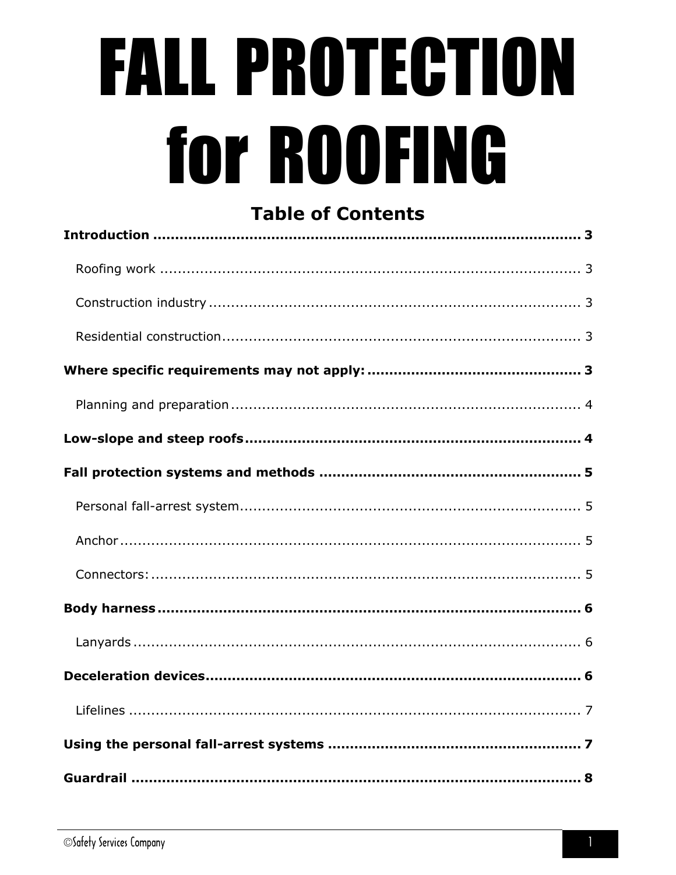# **FALL PROTECTION** for ROOFING

# **Table of Contents**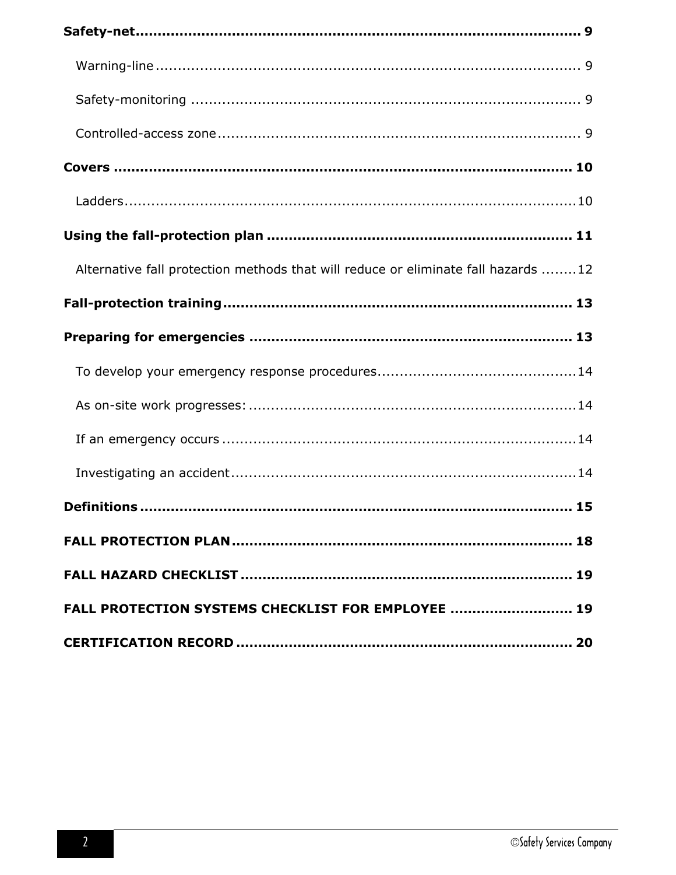| Alternative fall protection methods that will reduce or eliminate fall hazards 12 |
|-----------------------------------------------------------------------------------|
|                                                                                   |
|                                                                                   |
|                                                                                   |
|                                                                                   |
|                                                                                   |
|                                                                                   |
|                                                                                   |
|                                                                                   |
|                                                                                   |
| FALL PROTECTION SYSTEMS CHECKLIST FOR EMPLOYEE  19                                |
|                                                                                   |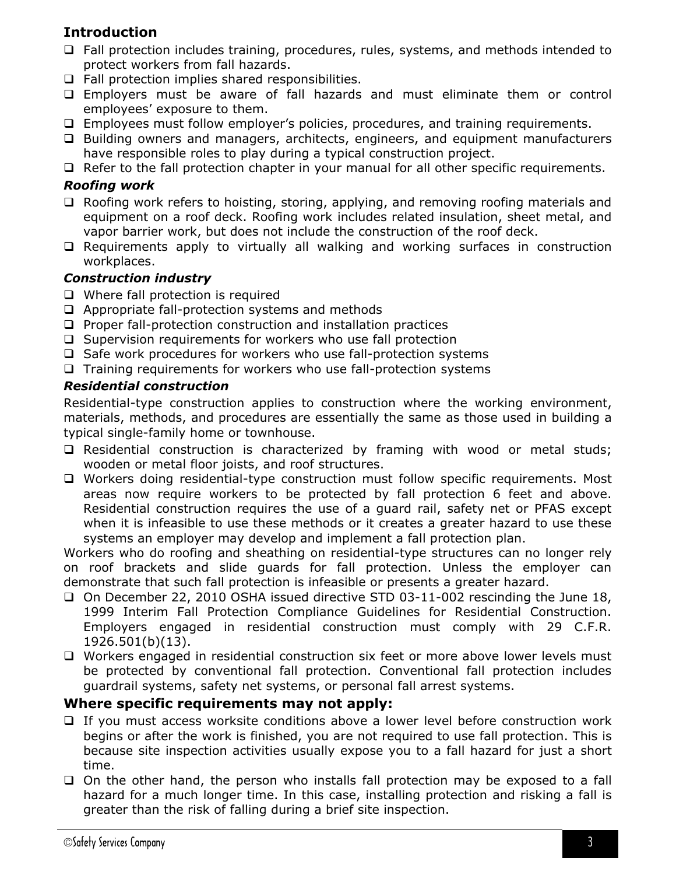# <span id="page-2-0"></span>**Introduction**

- $\Box$  Fall protection includes training, procedures, rules, systems, and methods intended to protect workers from fall hazards.
- $\Box$  Fall protection implies shared responsibilities.
- Employers must be aware of fall hazards and must eliminate them or control employees' exposure to them.
- Employees must follow employer's policies, procedures, and training requirements.
- Building owners and managers, architects, engineers, and equipment manufacturers have responsible roles to play during a typical construction project.
- $\Box$  Refer to the fall protection chapter in your manual for all other specific requirements.

#### <span id="page-2-1"></span>*Roofing work*

- $\Box$  Roofing work refers to hoisting, storing, applying, and removing roofing materials and equipment on a roof deck. Roofing work includes related insulation, sheet metal, and vapor barrier work, but does not include the construction of the roof deck.
- $\Box$  Requirements apply to virtually all walking and working surfaces in construction workplaces.

#### <span id="page-2-2"></span>*Construction industry*

- $\Box$  Where fall protection is required
- $\Box$  Appropriate fall-protection systems and methods
- $\square$  Proper fall-protection construction and installation practices
- $\square$  Supervision requirements for workers who use fall protection
- $\square$  Safe work procedures for workers who use fall-protection systems
- $\Box$  Training requirements for workers who use fall-protection systems

#### <span id="page-2-3"></span>*Residential construction*

Residential-type construction applies to construction where the working environment, materials, methods, and procedures are essentially the same as those used in building a typical single-family home or townhouse.

- $\square$  Residential construction is characterized by framing with wood or metal studs; wooden or metal floor joists, and roof structures.
- □ Workers doing residential-type construction must follow specific requirements. Most areas now require workers to be protected by fall protection 6 feet and above. Residential construction requires the use of a guard rail, safety net or PFAS except when it is infeasible to use these methods or it creates a greater hazard to use these systems an employer may develop and implement a fall protection plan.

Workers who do roofing and sheathing on residential-type structures can no longer rely on roof brackets and slide guards for fall protection. Unless the employer can demonstrate that such fall protection is infeasible or presents a greater hazard.

- On December 22, 2010 OSHA issued directive STD 03-11-002 rescinding the June 18, 1999 Interim Fall Protection Compliance Guidelines for Residential Construction. Employers engaged in residential construction must comply with 29 C.F.R. 1926.501(b)(13).
- □ Workers engaged in residential construction six feet or more above lower levels must be protected by conventional fall protection. Conventional fall protection includes guardrail systems, safety net systems, or personal fall arrest systems.

#### <span id="page-2-4"></span>**Where specific requirements may not apply:**

- $\Box$  If you must access worksite conditions above a lower level before construction work begins or after the work is finished, you are not required to use fall protection. This is because site inspection activities usually expose you to a fall hazard for just a short time.
- $\Box$  On the other hand, the person who installs fall protection may be exposed to a fall hazard for a much longer time. In this case, installing protection and risking a fall is greater than the risk of falling during a brief site inspection.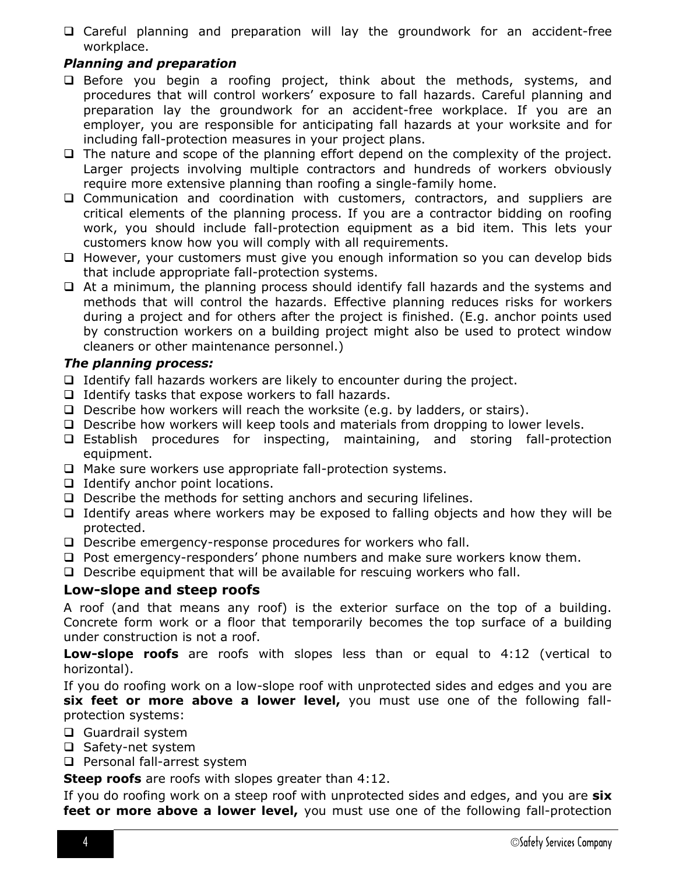Careful planning and preparation will lay the groundwork for an accident-free workplace.

#### <span id="page-3-0"></span>*Planning and preparation*

- $\Box$  Before you begin a roofing project, think about the methods, systems, and procedures that will control workers' exposure to fall hazards. Careful planning and preparation lay the groundwork for an accident-free workplace. If you are an employer, you are responsible for anticipating fall hazards at your worksite and for including fall-protection measures in your project plans.
- $\Box$  The nature and scope of the planning effort depend on the complexity of the project. Larger projects involving multiple contractors and hundreds of workers obviously require more extensive planning than roofing a single-family home.
- Communication and coordination with customers, contractors, and suppliers are critical elements of the planning process. If you are a contractor bidding on roofing work, you should include fall-protection equipment as a bid item. This lets your customers know how you will comply with all requirements.
- However, your customers must give you enough information so you can develop bids that include appropriate fall-protection systems.
- $\Box$  At a minimum, the planning process should identify fall hazards and the systems and methods that will control the hazards. Effective planning reduces risks for workers during a project and for others after the project is finished. (E.g. anchor points used by construction workers on a building project might also be used to protect window cleaners or other maintenance personnel.)

#### *The planning process:*

- $\Box$  Identify fall hazards workers are likely to encounter during the project.
- $\Box$  Identify tasks that expose workers to fall hazards.
- $\Box$  Describe how workers will reach the worksite (e.g. by ladders, or stairs).
- $\Box$  Describe how workers will keep tools and materials from dropping to lower levels.
- Establish procedures for inspecting, maintaining, and storing fall-protection equipment.
- $\Box$  Make sure workers use appropriate fall-protection systems.
- $\Box$  Identify anchor point locations.
- $\Box$  Describe the methods for setting anchors and securing lifelines.
- $\Box$  Identify areas where workers may be exposed to falling objects and how they will be protected.
- □ Describe emergency-response procedures for workers who fall.
- $\Box$  Post emergency-responders' phone numbers and make sure workers know them.
- $\Box$  Describe equipment that will be available for rescuing workers who fall.

#### <span id="page-3-1"></span>**Low-slope and steep roofs**

A roof (and that means any roof) is the exterior surface on the top of a building. Concrete form work or a floor that temporarily becomes the top surface of a building under construction is not a roof.

**Low-slope roofs** are roofs with slopes less than or equal to 4:12 (vertical to horizontal).

If you do roofing work on a low-slope roof with unprotected sides and edges and you are **six feet or more above a lower level,** you must use one of the following fallprotection systems:

- **Guardrail system**
- □ Safety-net system
- **Q** Personal fall-arrest system

**Steep roofs** are roofs with slopes greater than 4:12.

If you do roofing work on a steep roof with unprotected sides and edges, and you are **six feet or more above a lower level,** you must use one of the following fall-protection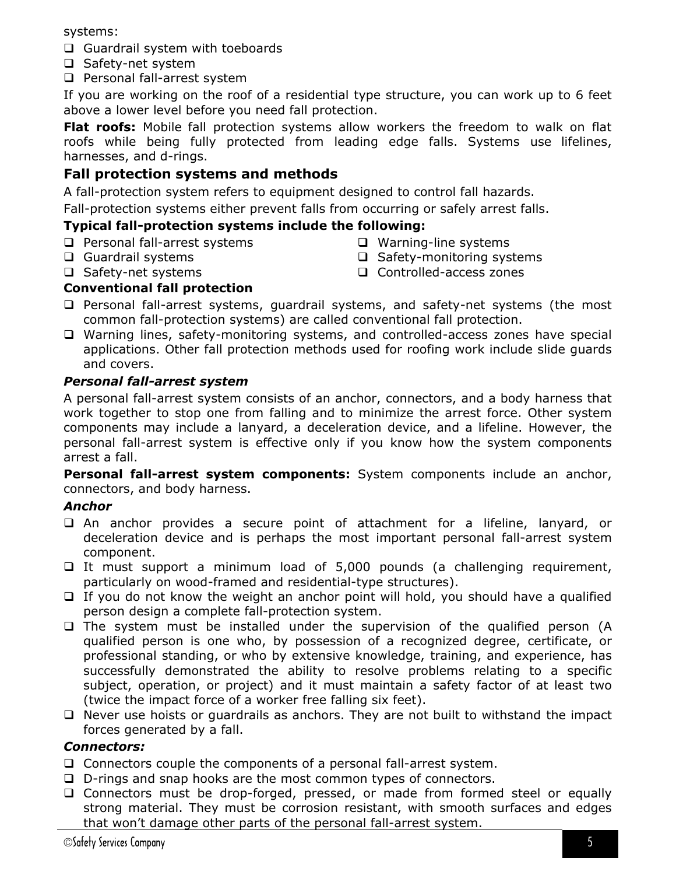systems:

- Guardrail system with toeboards
- □ Safety-net system
- **Q** Personal fall-arrest system

If you are working on the roof of a residential type structure, you can work up to 6 feet above a lower level before you need fall protection.

**Flat roofs:** Mobile fall protection systems allow workers the freedom to walk on flat roofs while being fully protected from leading edge falls. Systems use lifelines, harnesses, and d-rings.

# <span id="page-4-0"></span>**Fall protection systems and methods**

A fall-protection system refers to equipment designed to control fall hazards.

Fall-protection systems either prevent falls from occurring or safely arrest falls.

#### **Typical fall-protection systems include the following:**

- **Q** Personal fall-arrest systems
- **Q** Guardrail systems □ Safety-net systems
- □ Warning-line systems
- $\Box$  Safety-monitoring systems
- □ Controlled-access zones

## **Conventional fall protection**

- $\square$  Personal fall-arrest systems, guardrail systems, and safety-net systems (the most common fall-protection systems) are called conventional fall protection.
- Warning lines, safety-monitoring systems, and controlled-access zones have special applications. Other fall protection methods used for roofing work include slide guards and covers.

#### <span id="page-4-1"></span>*Personal fall-arrest system*

A personal fall-arrest system consists of an anchor, connectors, and a body harness that work together to stop one from falling and to minimize the arrest force. Other system components may include a lanyard, a deceleration device, and a lifeline. However, the personal fall-arrest system is effective only if you know how the system components arrest a fall.

**Personal fall-arrest system components:** System components include an anchor, connectors, and body harness.

#### <span id="page-4-2"></span>*Anchor*

- An anchor provides a secure point of attachment for a lifeline, lanyard, or deceleration device and is perhaps the most important personal fall-arrest system component.
- $\Box$  It must support a minimum load of 5,000 pounds (a challenging requirement, particularly on wood-framed and residential-type structures).
- $\Box$  If you do not know the weight an anchor point will hold, you should have a qualified person design a complete fall-protection system.
- $\Box$  The system must be installed under the supervision of the qualified person (A qualified person is one who, by possession of a recognized degree, certificate, or professional standing, or who by extensive knowledge, training, and experience, has successfully demonstrated the ability to resolve problems relating to a specific subject, operation, or project) and it must maintain a safety factor of at least two (twice the impact force of a worker free falling six feet).
- $\Box$  Never use hoists or quardrails as anchors. They are not built to withstand the impact forces generated by a fall.

#### <span id="page-4-3"></span>*Connectors:*

- $\Box$  Connectors couple the components of a personal fall-arrest system.
- □ D-rings and snap hooks are the most common types of connectors.
- □ Connectors must be drop-forged, pressed, or made from formed steel or equally strong material. They must be corrosion resistant, with smooth surfaces and edges that won't damage other parts of the personal fall-arrest system.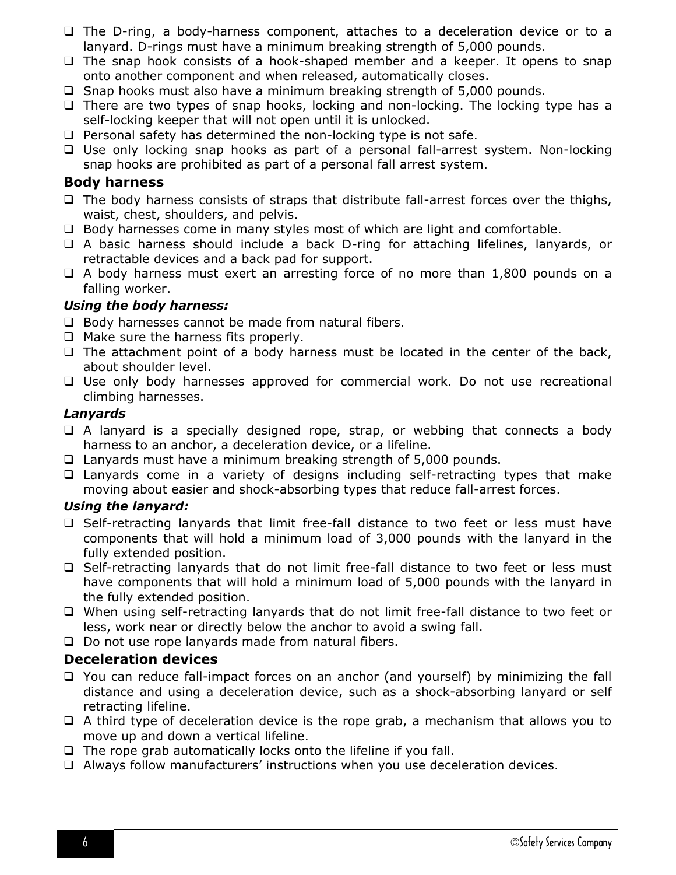- $\Box$  The D-ring, a body-harness component, attaches to a deceleration device or to a lanyard. D-rings must have a minimum breaking strength of 5,000 pounds.
- $\Box$  The snap hook consists of a hook-shaped member and a keeper. It opens to snap onto another component and when released, automatically closes.
- $\square$  Snap hooks must also have a minimum breaking strength of 5,000 pounds.
- $\Box$  There are two types of snap hooks, locking and non-locking. The locking type has a self-locking keeper that will not open until it is unlocked.
- $\Box$  Personal safety has determined the non-locking type is not safe.
- $\Box$  Use only locking snap hooks as part of a personal fall-arrest system. Non-locking snap hooks are prohibited as part of a personal fall arrest system.

#### <span id="page-5-0"></span>**Body harness**

- $\Box$  The body harness consists of straps that distribute fall-arrest forces over the thighs, waist, chest, shoulders, and pelvis.
- □ Body harnesses come in many styles most of which are light and comfortable.
- A basic harness should include a back D-ring for attaching lifelines, lanyards, or retractable devices and a back pad for support.
- $\Box$  A body harness must exert an arresting force of no more than 1,800 pounds on a falling worker.

#### *Using the body harness:*

- $\Box$  Body harnesses cannot be made from natural fibers.
- $\Box$  Make sure the harness fits properly.
- $\Box$  The attachment point of a body harness must be located in the center of the back, about shoulder level.
- Use only body harnesses approved for commercial work. Do not use recreational climbing harnesses.

#### <span id="page-5-1"></span>*Lanyards*

- $\Box$  A lanyard is a specially designed rope, strap, or webbing that connects a body harness to an anchor, a deceleration device, or a lifeline.
- Lanyards must have a minimum breaking strength of 5,000 pounds.
- $\Box$  Lanyards come in a variety of designs including self-retracting types that make moving about easier and shock-absorbing types that reduce fall-arrest forces.

#### *Using the lanyard:*

- $\Box$  Self-retracting lanyards that limit free-fall distance to two feet or less must have components that will hold a minimum load of 3,000 pounds with the lanyard in the fully extended position.
- □ Self-retracting lanyards that do not limit free-fall distance to two feet or less must have components that will hold a minimum load of 5,000 pounds with the lanyard in the fully extended position.
- When using self-retracting lanyards that do not limit free-fall distance to two feet or less, work near or directly below the anchor to avoid a swing fall.
- $\Box$  Do not use rope lanyards made from natural fibers.

#### <span id="page-5-2"></span>**Deceleration devices**

- □ You can reduce fall-impact forces on an anchor (and yourself) by minimizing the fall distance and using a deceleration device, such as a shock-absorbing lanyard or self retracting lifeline.
- $\Box$  A third type of deceleration device is the rope grab, a mechanism that allows you to move up and down a vertical lifeline.
- $\Box$  The rope grab automatically locks onto the lifeline if you fall.
- Always follow manufacturers' instructions when you use deceleration devices.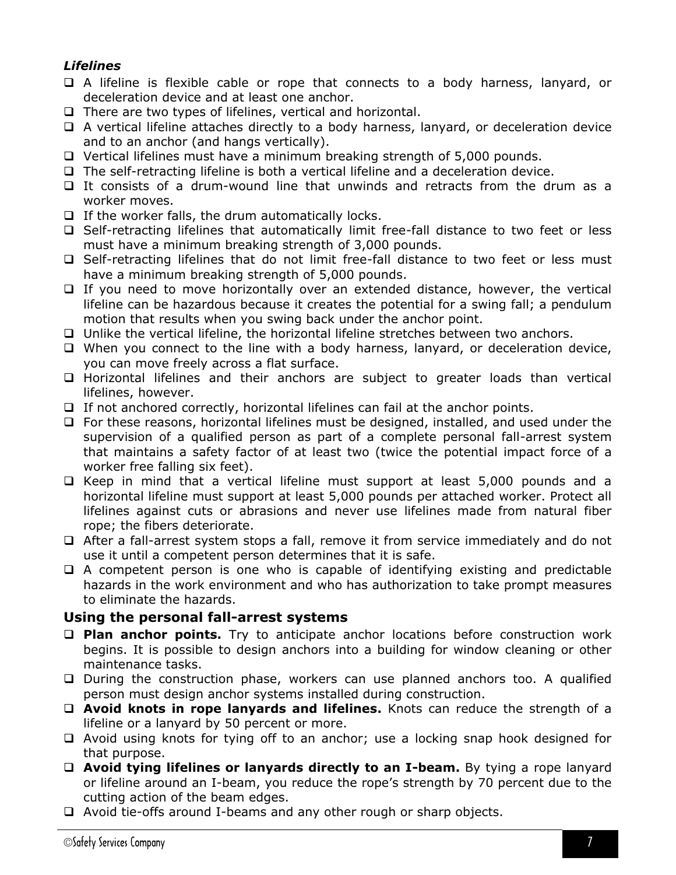## <span id="page-6-0"></span>*Lifelines*

- A lifeline is flexible cable or rope that connects to a body harness, lanyard, or deceleration device and at least one anchor.
- $\Box$  There are two types of lifelines, vertical and horizontal.
- A vertical lifeline attaches directly to a body harness, lanyard, or deceleration device and to an anchor (and hangs vertically).
- Vertical lifelines must have a minimum breaking strength of 5,000 pounds.
- $\Box$  The self-retracting lifeline is both a vertical lifeline and a deceleration device.
- $\Box$  It consists of a drum-wound line that unwinds and retracts from the drum as a worker moves.
- $\Box$  If the worker falls, the drum automatically locks.
- Self-retracting lifelines that automatically limit free-fall distance to two feet or less must have a minimum breaking strength of 3,000 pounds.
- Self-retracting lifelines that do not limit free-fall distance to two feet or less must have a minimum breaking strength of 5,000 pounds.
- $\Box$  If you need to move horizontally over an extended distance, however, the vertical lifeline can be hazardous because it creates the potential for a swing fall; a pendulum motion that results when you swing back under the anchor point.
- $\Box$  Unlike the vertical lifeline, the horizontal lifeline stretches between two anchors.
- $\Box$  When you connect to the line with a body harness, lanyard, or deceleration device, you can move freely across a flat surface.
- Horizontal lifelines and their anchors are subject to greater loads than vertical lifelines, however.
- $\Box$  If not anchored correctly, horizontal lifelines can fail at the anchor points.
- $\Box$  For these reasons, horizontal lifelines must be designed, installed, and used under the supervision of a qualified person as part of a complete personal fall-arrest system that maintains a safety factor of at least two (twice the potential impact force of a worker free falling six feet).
- $\Box$  Keep in mind that a vertical lifeline must support at least 5,000 pounds and a horizontal lifeline must support at least 5,000 pounds per attached worker. Protect all lifelines against cuts or abrasions and never use lifelines made from natural fiber rope; the fibers deteriorate.
- After a fall-arrest system stops a fall, remove it from service immediately and do not use it until a competent person determines that it is safe.
- $\Box$  A competent person is one who is capable of identifying existing and predictable hazards in the work environment and who has authorization to take prompt measures to eliminate the hazards.

#### <span id="page-6-1"></span>**Using the personal fall-arrest systems**

- **Plan anchor points.** Try to anticipate anchor locations before construction work begins. It is possible to design anchors into a building for window cleaning or other maintenance tasks.
- $\Box$  During the construction phase, workers can use planned anchors too. A qualified person must design anchor systems installed during construction.
- **Avoid knots in rope lanyards and lifelines.** Knots can reduce the strength of a lifeline or a lanyard by 50 percent or more.
- Avoid using knots for tying off to an anchor; use a locking snap hook designed for that purpose.
- **Avoid tying lifelines or lanyards directly to an I-beam.** By tying a rope lanyard or lifeline around an I-beam, you reduce the rope's strength by 70 percent due to the cutting action of the beam edges.
- $\Box$  Avoid tie-offs around I-beams and any other rough or sharp objects.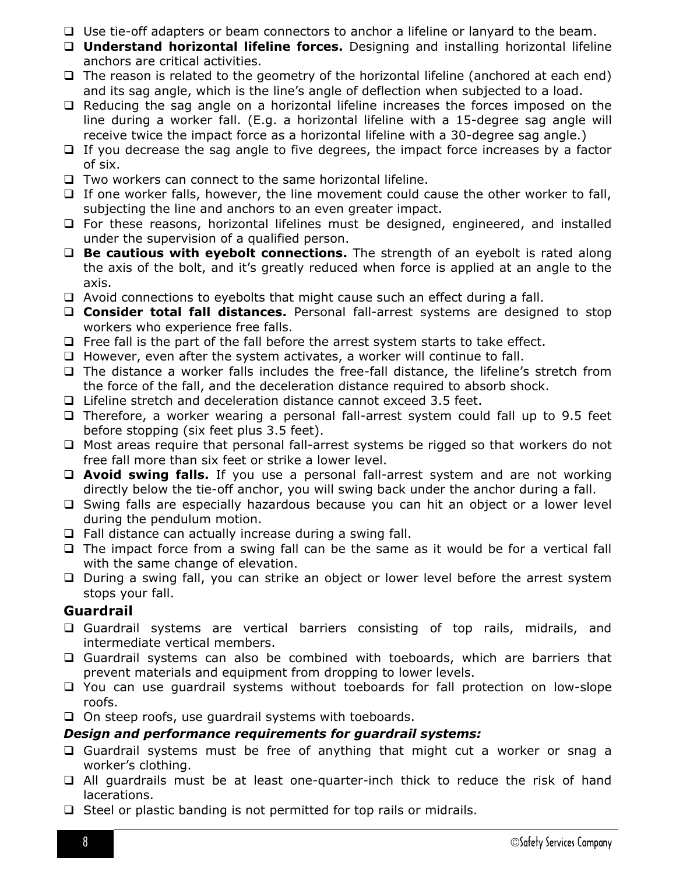- Use tie-off adapters or beam connectors to anchor a lifeline or lanyard to the beam.
- **Understand horizontal lifeline forces.** Designing and installing horizontal lifeline anchors are critical activities.
- $\Box$  The reason is related to the geometry of the horizontal lifeline (anchored at each end) and its sag angle, which is the line's angle of deflection when subjected to a load.
- $\Box$  Reducing the sag angle on a horizontal lifeline increases the forces imposed on the line during a worker fall. (E.g. a horizontal lifeline with a 15-degree sag angle will receive twice the impact force as a horizontal lifeline with a 30-degree sag angle.)
- $\Box$  If you decrease the sag angle to five degrees, the impact force increases by a factor of six.
- $\Box$  Two workers can connect to the same horizontal lifeline.
- $\Box$  If one worker falls, however, the line movement could cause the other worker to fall, subjecting the line and anchors to an even greater impact.
- $\Box$  For these reasons, horizontal lifelines must be designed, engineered, and installed under the supervision of a qualified person.
- **Be cautious with eyebolt connections.** The strength of an eyebolt is rated along the axis of the bolt, and it's greatly reduced when force is applied at an angle to the axis.
- $\Box$  Avoid connections to eyebolts that might cause such an effect during a fall.
- **Consider total fall distances.** Personal fall-arrest systems are designed to stop workers who experience free falls.
- $\Box$  Free fall is the part of the fall before the arrest system starts to take effect.
- $\Box$  However, even after the system activates, a worker will continue to fall.
- The distance a worker falls includes the free-fall distance, the lifeline's stretch from the force of the fall, and the deceleration distance required to absorb shock.
- □ Lifeline stretch and deceleration distance cannot exceed 3.5 feet.
- Therefore, a worker wearing a personal fall-arrest system could fall up to 9.5 feet before stopping (six feet plus 3.5 feet).
- $\Box$  Most areas require that personal fall-arrest systems be rigged so that workers do not free fall more than six feet or strike a lower level.
- **Avoid swing falls.** If you use a personal fall-arrest system and are not working directly below the tie-off anchor, you will swing back under the anchor during a fall.
- $\Box$  Swing falls are especially hazardous because you can hit an object or a lower level during the pendulum motion.
- $\Box$  Fall distance can actually increase during a swing fall.
- $\Box$  The impact force from a swing fall can be the same as it would be for a vertical fall with the same change of elevation.
- □ During a swing fall, you can strike an object or lower level before the arrest system stops your fall.

# <span id="page-7-0"></span>**Guardrail**

- Guardrail systems are vertical barriers consisting of top rails, midrails, and intermediate vertical members.
- Guardrail systems can also be combined with toeboards, which are barriers that prevent materials and equipment from dropping to lower levels.
- You can use guardrail systems without toeboards for fall protection on low-slope roofs.
- $\Box$  On steep roofs, use guardrail systems with toeboards.

# *Design and performance requirements for guardrail systems:*

- Guardrail systems must be free of anything that might cut a worker or snag a worker's clothing.
- All guardrails must be at least one-quarter-inch thick to reduce the risk of hand lacerations.
- $\Box$  Steel or plastic banding is not permitted for top rails or midrails.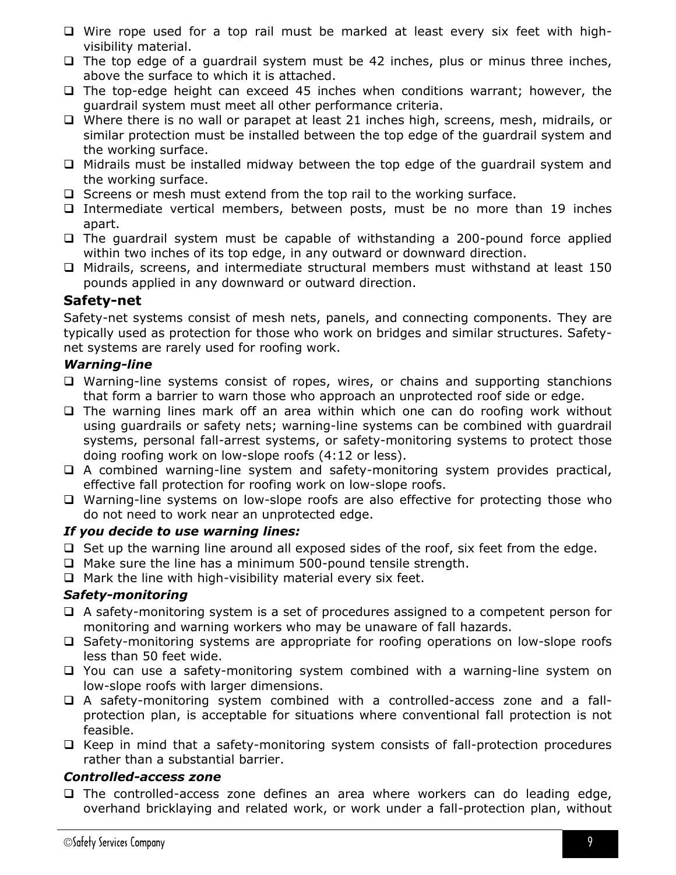- $\Box$  Wire rope used for a top rail must be marked at least every six feet with highvisibility material.
- $\Box$  The top edge of a guardrail system must be 42 inches, plus or minus three inches, above the surface to which it is attached.
- $\Box$  The top-edge height can exceed 45 inches when conditions warrant; however, the guardrail system must meet all other performance criteria.
- $\Box$  Where there is no wall or parapet at least 21 inches high, screens, mesh, midrails, or similar protection must be installed between the top edge of the guardrail system and the working surface.
- $\Box$  Midrails must be installed midway between the top edge of the quardrail system and the working surface.
- $\Box$  Screens or mesh must extend from the top rail to the working surface.
- Intermediate vertical members, between posts, must be no more than 19 inches apart.
- $\Box$  The guardrail system must be capable of withstanding a 200-pound force applied within two inches of its top edge, in any outward or downward direction.
- $\Box$  Midrails, screens, and intermediate structural members must withstand at least 150 pounds applied in any downward or outward direction.

# <span id="page-8-0"></span>**Safety-net**

Safety-net systems consist of mesh nets, panels, and connecting components. They are typically used as protection for those who work on bridges and similar structures. Safetynet systems are rarely used for roofing work.

#### <span id="page-8-1"></span>*Warning-line*

- □ Warning-line systems consist of ropes, wires, or chains and supporting stanchions that form a barrier to warn those who approach an unprotected roof side or edge.
- $\Box$  The warning lines mark off an area within which one can do roofing work without using guardrails or safety nets; warning-line systems can be combined with guardrail systems, personal fall-arrest systems, or safety-monitoring systems to protect those doing roofing work on low-slope roofs (4:12 or less).
- $\Box$  A combined warning-line system and safety-monitoring system provides practical, effective fall protection for roofing work on low-slope roofs.
- □ Warning-line systems on low-slope roofs are also effective for protecting those who do not need to work near an unprotected edge.

#### *If you decide to use warning lines:*

- $\Box$  Set up the warning line around all exposed sides of the roof, six feet from the edge.
- $\Box$  Make sure the line has a minimum 500-pound tensile strength.
- $\Box$  Mark the line with high-visibility material every six feet.

#### <span id="page-8-2"></span>*Safety-monitoring*

- $\Box$  A safety-monitoring system is a set of procedures assigned to a competent person for monitoring and warning workers who may be unaware of fall hazards.
- $\square$  Safety-monitoring systems are appropriate for roofing operations on low-slope roofs less than 50 feet wide.
- You can use a safety-monitoring system combined with a warning-line system on low-slope roofs with larger dimensions.
- A safety-monitoring system combined with a controlled-access zone and a fallprotection plan, is acceptable for situations where conventional fall protection is not feasible.
- $\Box$  Keep in mind that a safety-monitoring system consists of fall-protection procedures rather than a substantial barrier.

#### <span id="page-8-3"></span>*Controlled-access zone*

 The controlled-access zone defines an area where workers can do leading edge, overhand bricklaying and related work, or work under a fall-protection plan, without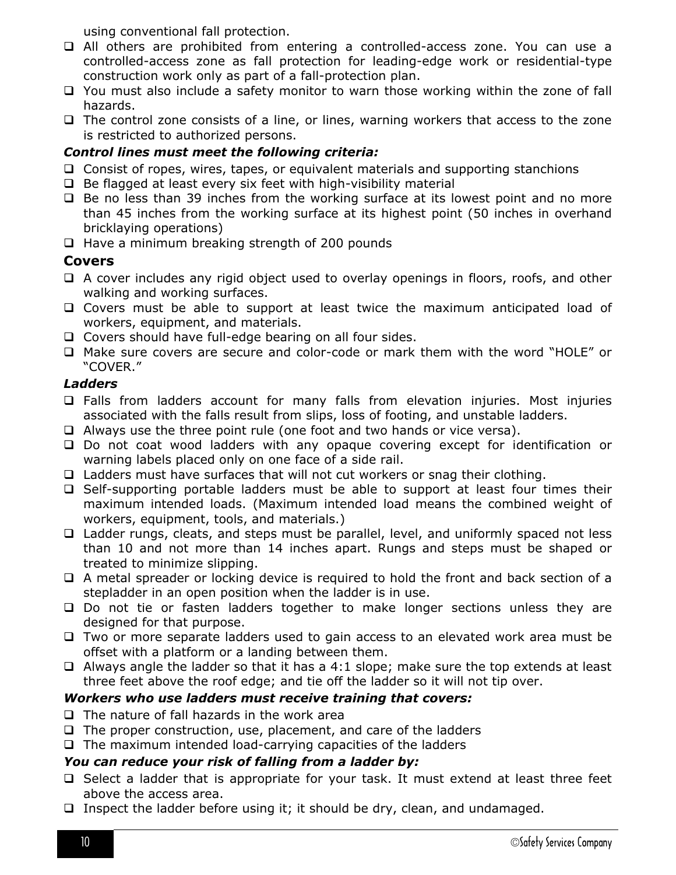using conventional fall protection.

- All others are prohibited from entering a controlled-access zone. You can use a controlled-access zone as fall protection for leading-edge work or residential-type construction work only as part of a fall-protection plan.
- □ You must also include a safety monitor to warn those working within the zone of fall hazards.
- $\Box$  The control zone consists of a line, or lines, warning workers that access to the zone is restricted to authorized persons.

#### *Control lines must meet the following criteria:*

- $\Box$  Consist of ropes, wires, tapes, or equivalent materials and supporting stanchions
- $\Box$  Be flagged at least every six feet with high-visibility material
- $\Box$  Be no less than 39 inches from the working surface at its lowest point and no more than 45 inches from the working surface at its highest point (50 inches in overhand bricklaying operations)
- $\Box$  Have a minimum breaking strength of 200 pounds

# <span id="page-9-0"></span>**Covers**

- $\Box$  A cover includes any rigid object used to overlay openings in floors, roofs, and other walking and working surfaces.
- Covers must be able to support at least twice the maximum anticipated load of workers, equipment, and materials.
- □ Covers should have full-edge bearing on all four sides.
- Make sure covers are secure and color-code or mark them with the word "HOLE" or "COVER."

#### <span id="page-9-1"></span>*Ladders*

- Falls from ladders account for many falls from elevation injuries. Most injuries associated with the falls result from slips, loss of footing, and unstable ladders.
- $\Box$  Always use the three point rule (one foot and two hands or vice versa).
- Do not coat wood ladders with any opaque covering except for identification or warning labels placed only on one face of a side rail.
- $\Box$  Ladders must have surfaces that will not cut workers or snag their clothing.
- $\Box$  Self-supporting portable ladders must be able to support at least four times their maximum intended loads. (Maximum intended load means the combined weight of workers, equipment, tools, and materials.)
- □ Ladder rungs, cleats, and steps must be parallel, level, and uniformly spaced not less than 10 and not more than 14 inches apart. Rungs and steps must be shaped or treated to minimize slipping.
- $\Box$  A metal spreader or locking device is required to hold the front and back section of a stepladder in an open position when the ladder is in use.
- □ Do not tie or fasten ladders together to make longer sections unless they are designed for that purpose.
- $\Box$  Two or more separate ladders used to gain access to an elevated work area must be offset with a platform or a landing between them.
- $\Box$  Always angle the ladder so that it has a 4:1 slope; make sure the top extends at least three feet above the roof edge; and tie off the ladder so it will not tip over.

#### *Workers who use ladders must receive training that covers:*

- $\Box$  The nature of fall hazards in the work area
- $\Box$  The proper construction, use, placement, and care of the ladders
- $\Box$  The maximum intended load-carrying capacities of the ladders

#### *You can reduce your risk of falling from a ladder by:*

- $\Box$  Select a ladder that is appropriate for your task. It must extend at least three feet above the access area.
- Inspect the ladder before using it; it should be dry, clean, and undamaged.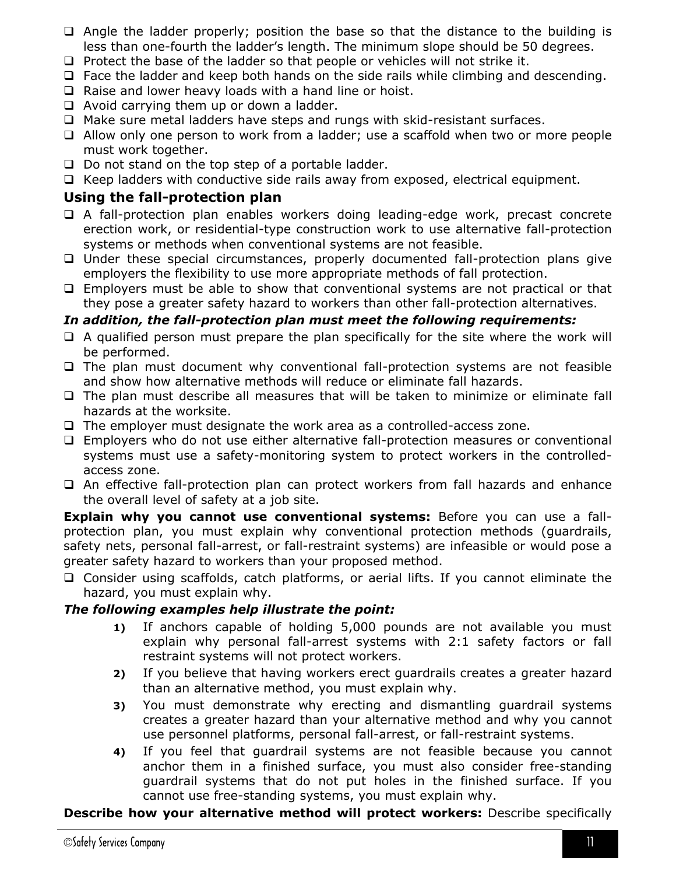- $\Box$  Angle the ladder properly; position the base so that the distance to the building is less than one-fourth the ladder's length. The minimum slope should be 50 degrees.
- $\Box$  Protect the base of the ladder so that people or vehicles will not strike it.
- $\Box$  Face the ladder and keep both hands on the side rails while climbing and descending.
- $\Box$  Raise and lower heavy loads with a hand line or hoist.
- $\Box$  Avoid carrying them up or down a ladder.
- □ Make sure metal ladders have steps and rungs with skid-resistant surfaces.
- Allow only one person to work from a ladder; use a scaffold when two or more people must work together.
- $\Box$  Do not stand on the top step of a portable ladder.
- $\Box$  Keep ladders with conductive side rails away from exposed, electrical equipment.

#### <span id="page-10-0"></span>**Using the fall-protection plan**

- A fall-protection plan enables workers doing leading-edge work, precast concrete erection work, or residential-type construction work to use alternative fall-protection systems or methods when conventional systems are not feasible.
- $\Box$  Under these special circumstances, properly documented fall-protection plans give employers the flexibility to use more appropriate methods of fall protection.
- $\Box$  Employers must be able to show that conventional systems are not practical or that they pose a greater safety hazard to workers than other fall-protection alternatives.

#### *In addition, the fall-protection plan must meet the following requirements:*

- $\Box$  A qualified person must prepare the plan specifically for the site where the work will be performed.
- $\Box$  The plan must document why conventional fall-protection systems are not feasible and show how alternative methods will reduce or eliminate fall hazards.
- $\Box$  The plan must describe all measures that will be taken to minimize or eliminate fall hazards at the worksite.
- $\Box$  The employer must designate the work area as a controlled-access zone.
- Employers who do not use either alternative fall-protection measures or conventional systems must use a safety-monitoring system to protect workers in the controlledaccess zone.
- $\Box$  An effective fall-protection plan can protect workers from fall hazards and enhance the overall level of safety at a job site.

**Explain why you cannot use conventional systems:** Before you can use a fallprotection plan, you must explain why conventional protection methods (guardrails, safety nets, personal fall-arrest, or fall-restraint systems) are infeasible or would pose a greater safety hazard to workers than your proposed method.

 Consider using scaffolds, catch platforms, or aerial lifts. If you cannot eliminate the hazard, you must explain why.

#### *The following examples help illustrate the point:*

- **1)** If anchors capable of holding 5,000 pounds are not available you must explain why personal fall-arrest systems with 2:1 safety factors or fall restraint systems will not protect workers.
- **2)** If you believe that having workers erect guardrails creates a greater hazard than an alternative method, you must explain why.
- **3)** You must demonstrate why erecting and dismantling guardrail systems creates a greater hazard than your alternative method and why you cannot use personnel platforms, personal fall-arrest, or fall-restraint systems.
- **4)** If you feel that guardrail systems are not feasible because you cannot anchor them in a finished surface, you must also consider free-standing guardrail systems that do not put holes in the finished surface. If you cannot use free-standing systems, you must explain why.

#### **Describe how your alternative method will protect workers:** Describe specifically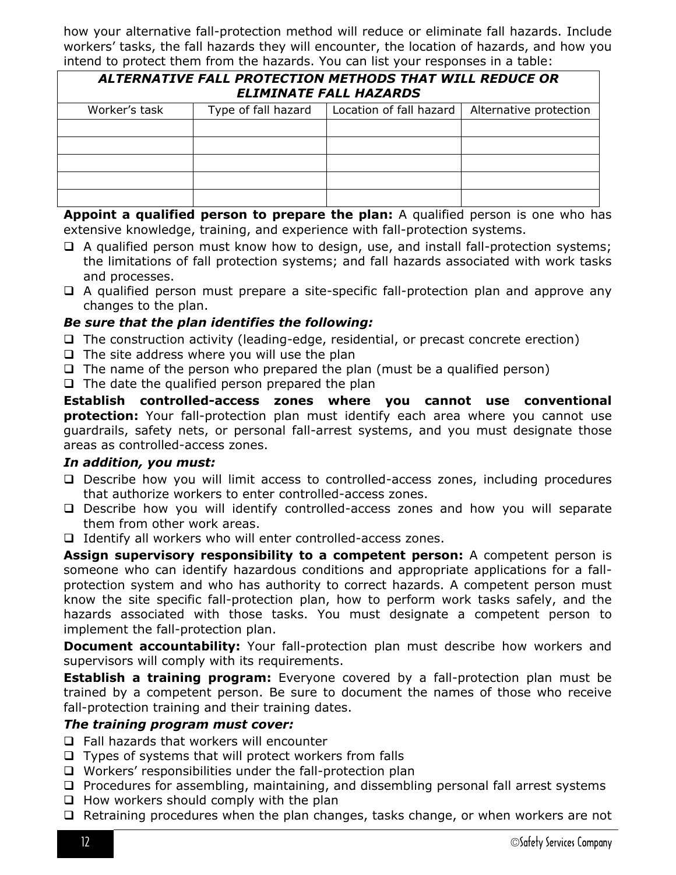how your alternative fall-protection method will reduce or eliminate fall hazards. Include workers' tasks, the fall hazards they will encounter, the location of hazards, and how you intend to protect them from the hazards. You can list your responses in a table:

<span id="page-11-0"></span>

| ALTERNATIVE FALL PROTECTION METHODS THAT WILL REDUCE OR<br><b>ELIMINATE FALL HAZARDS</b> |                     |                         |                        |  |  |
|------------------------------------------------------------------------------------------|---------------------|-------------------------|------------------------|--|--|
| Worker's task                                                                            | Type of fall hazard | Location of fall hazard | Alternative protection |  |  |
|                                                                                          |                     |                         |                        |  |  |
|                                                                                          |                     |                         |                        |  |  |
|                                                                                          |                     |                         |                        |  |  |
|                                                                                          |                     |                         |                        |  |  |
|                                                                                          |                     |                         |                        |  |  |

**Appoint a qualified person to prepare the plan:** A qualified person is one who has extensive knowledge, training, and experience with fall-protection systems.

- $\Box$  A qualified person must know how to design, use, and install fall-protection systems; the limitations of fall protection systems; and fall hazards associated with work tasks and processes.
- A qualified person must prepare a site-specific fall-protection plan and approve any changes to the plan.

#### *Be sure that the plan identifies the following:*

- $\Box$  The construction activity (leading-edge, residential, or precast concrete erection)
- $\Box$  The site address where you will use the plan
- $\Box$  The name of the person who prepared the plan (must be a qualified person)
- $\Box$  The date the qualified person prepared the plan

**Establish controlled-access zones where you cannot use conventional protection:** Your fall-protection plan must identify each area where you cannot use guardrails, safety nets, or personal fall-arrest systems, and you must designate those areas as controlled-access zones.

#### *In addition, you must:*

- Describe how you will limit access to controlled-access zones, including procedures that authorize workers to enter controlled-access zones.
- Describe how you will identify controlled-access zones and how you will separate them from other work areas.
- $\Box$  Identify all workers who will enter controlled-access zones.

**Assign supervisory responsibility to a competent person:** A competent person is someone who can identify hazardous conditions and appropriate applications for a fallprotection system and who has authority to correct hazards. A competent person must know the site specific fall-protection plan, how to perform work tasks safely, and the hazards associated with those tasks. You must designate a competent person to implement the fall-protection plan.

**Document accountability:** Your fall-protection plan must describe how workers and supervisors will comply with its requirements.

**Establish a training program:** Everyone covered by a fall-protection plan must be trained by a competent person. Be sure to document the names of those who receive fall-protection training and their training dates.

#### *The training program must cover:*

- $\Box$  Fall hazards that workers will encounter
- $\Box$  Types of systems that will protect workers from falls
- $\Box$  Workers' responsibilities under the fall-protection plan
- $\Box$  Procedures for assembling, maintaining, and dissembling personal fall arrest systems
- $\Box$  How workers should comply with the plan
- $\Box$  Retraining procedures when the plan changes, tasks change, or when workers are not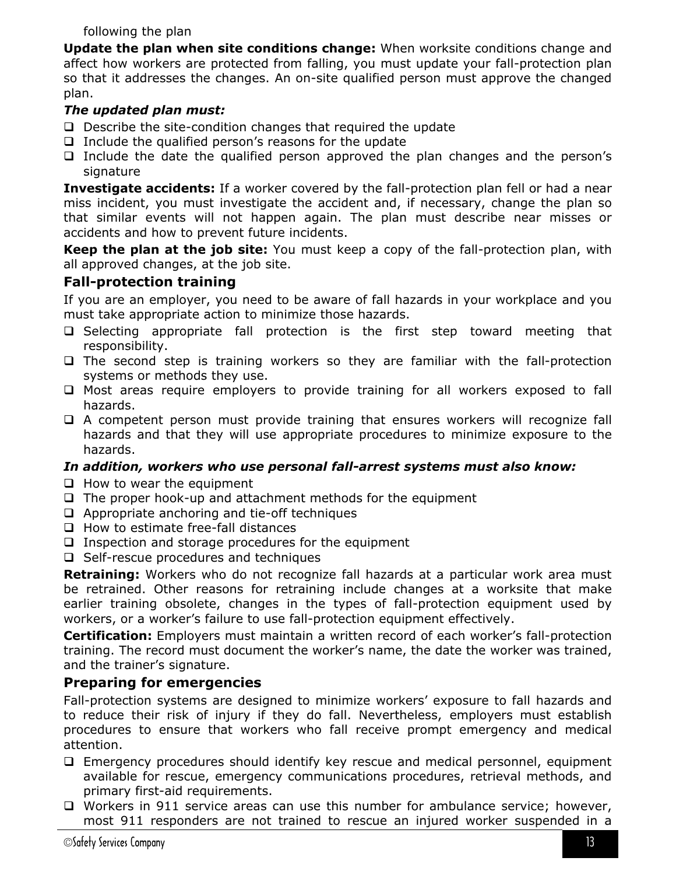following the plan

**Update the plan when site conditions change:** When worksite conditions change and affect how workers are protected from falling, you must update your fall-protection plan so that it addresses the changes. An on-site qualified person must approve the changed plan.

#### *The updated plan must:*

- $\Box$  Describe the site-condition changes that required the update
- $\Box$  Include the qualified person's reasons for the update
- $\Box$  Include the date the qualified person approved the plan changes and the person's signature

**Investigate accidents:** If a worker covered by the fall-protection plan fell or had a near miss incident, you must investigate the accident and, if necessary, change the plan so that similar events will not happen again. The plan must describe near misses or accidents and how to prevent future incidents.

**Keep the plan at the job site:** You must keep a copy of the fall-protection plan, with all approved changes, at the job site.

# <span id="page-12-0"></span>**Fall-protection training**

If you are an employer, you need to be aware of fall hazards in your workplace and you must take appropriate action to minimize those hazards.

- $\square$  Selecting appropriate fall protection is the first step toward meeting that responsibility.
- $\Box$  The second step is training workers so they are familiar with the fall-protection systems or methods they use.
- $\Box$  Most areas require employers to provide training for all workers exposed to fall hazards.
- $\Box$  A competent person must provide training that ensures workers will recognize fall hazards and that they will use appropriate procedures to minimize exposure to the hazards.

#### *In addition, workers who use personal fall-arrest systems must also know:*

- $\Box$  How to wear the equipment
- $\Box$  The proper hook-up and attachment methods for the equipment
- $\Box$  Appropriate anchoring and tie-off techniques
- $\Box$  How to estimate free-fall distances
- $\Box$  Inspection and storage procedures for the equipment
- $\Box$  Self-rescue procedures and techniques

**Retraining:** Workers who do not recognize fall hazards at a particular work area must be retrained. Other reasons for retraining include changes at a worksite that make earlier training obsolete, changes in the types of fall-protection equipment used by workers, or a worker's failure to use fall-protection equipment effectively.

**Certification:** Employers must maintain a written record of each worker's fall-protection training. The record must document the worker's name, the date the worker was trained, and the trainer's signature.

# <span id="page-12-1"></span>**Preparing for emergencies**

Fall-protection systems are designed to minimize workers' exposure to fall hazards and to reduce their risk of injury if they do fall. Nevertheless, employers must establish procedures to ensure that workers who fall receive prompt emergency and medical attention.

- $\Box$  Emergency procedures should identify key rescue and medical personnel, equipment available for rescue, emergency communications procedures, retrieval methods, and primary first-aid requirements.
- □ Workers in 911 service areas can use this number for ambulance service; however, most 911 responders are not trained to rescue an injured worker suspended in a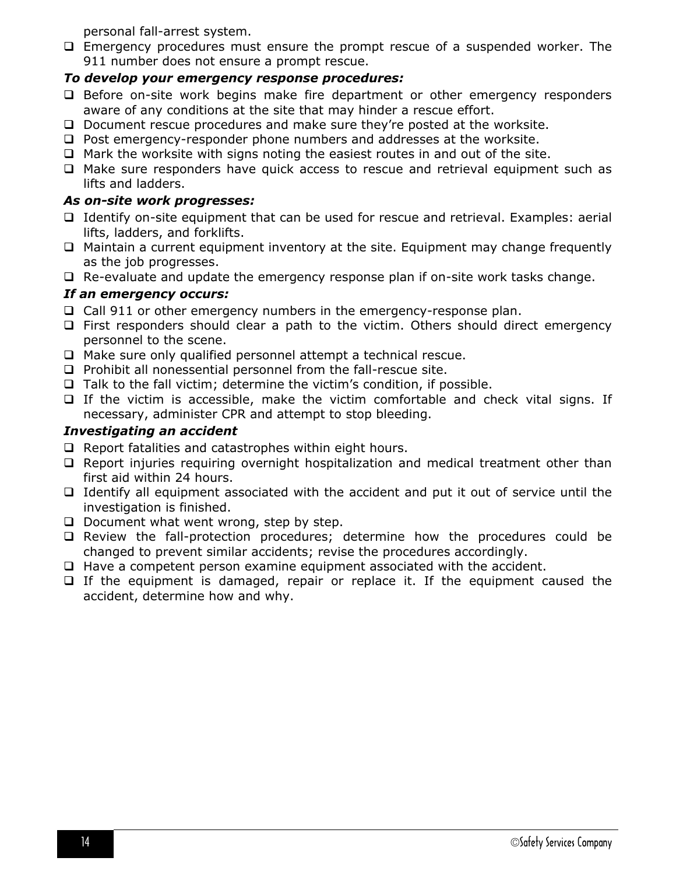personal fall-arrest system.

 $\Box$  Emergency procedures must ensure the prompt rescue of a suspended worker. The 911 number does not ensure a prompt rescue.

#### <span id="page-13-0"></span>*To develop your emergency response procedures:*

- $\Box$  Before on-site work begins make fire department or other emergency responders aware of any conditions at the site that may hinder a rescue effort.
- Document rescue procedures and make sure they're posted at the worksite.
- $\Box$  Post emergency-responder phone numbers and addresses at the worksite.
- $\Box$  Mark the worksite with signs noting the easiest routes in and out of the site.
- Make sure responders have quick access to rescue and retrieval equipment such as lifts and ladders.

#### <span id="page-13-1"></span>*As on-site work progresses:*

- $\Box$  Identify on-site equipment that can be used for rescue and retrieval. Examples: aerial lifts, ladders, and forklifts.
- $\Box$  Maintain a current equipment inventory at the site. Equipment may change frequently as the job progresses.
- $\Box$  Re-evaluate and update the emergency response plan if on-site work tasks change.

#### <span id="page-13-2"></span>*If an emergency occurs:*

- $\Box$  Call 911 or other emergency numbers in the emergency-response plan.
- $\Box$  First responders should clear a path to the victim. Others should direct emergency personnel to the scene.
- □ Make sure only qualified personnel attempt a technical rescue.
- $\Box$  Prohibit all nonessential personnel from the fall-rescue site.
- $\Box$  Talk to the fall victim; determine the victim's condition, if possible.
- $\Box$  If the victim is accessible, make the victim comfortable and check vital signs. If necessary, administer CPR and attempt to stop bleeding.

#### <span id="page-13-3"></span>*Investigating an accident*

- $\Box$  Report fatalities and catastrophes within eight hours.
- $\Box$  Report injuries requiring overnight hospitalization and medical treatment other than first aid within 24 hours.
- $\Box$  Identify all equipment associated with the accident and put it out of service until the investigation is finished.
- $\Box$  Document what went wrong, step by step.
- Review the fall-protection procedures; determine how the procedures could be changed to prevent similar accidents; revise the procedures accordingly.
- $\Box$  Have a competent person examine equipment associated with the accident.
- <span id="page-13-4"></span> $\Box$  If the equipment is damaged, repair or replace it. If the equipment caused the accident, determine how and why.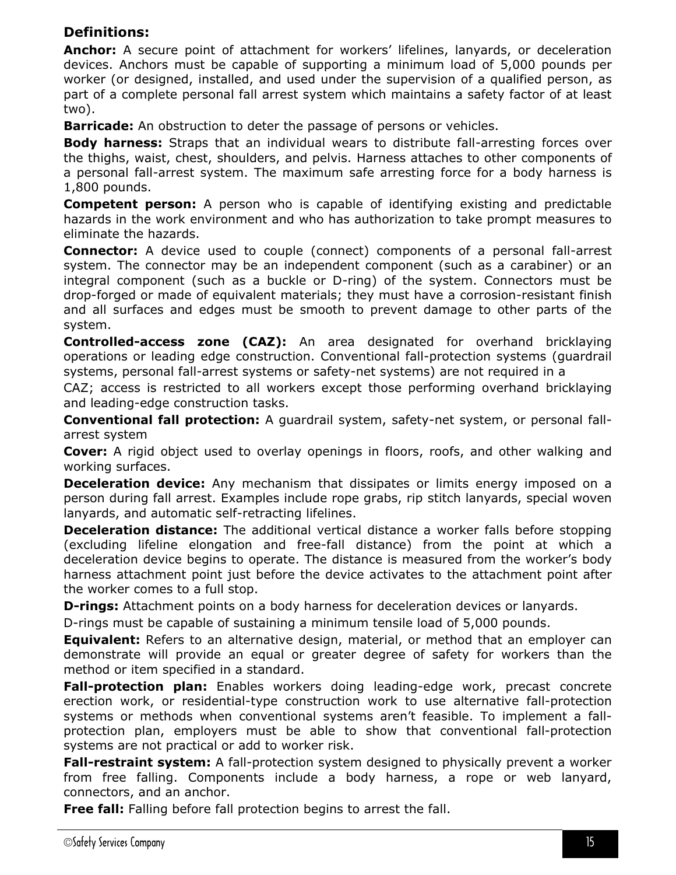# **Definitions:**

**Anchor:** A secure point of attachment for workers' lifelines, lanyards, or deceleration devices. Anchors must be capable of supporting a minimum load of 5,000 pounds per worker (or designed, installed, and used under the supervision of a qualified person, as part of a complete personal fall arrest system which maintains a safety factor of at least two).

**Barricade:** An obstruction to deter the passage of persons or vehicles.

**Body harness:** Straps that an individual wears to distribute fall-arresting forces over the thighs, waist, chest, shoulders, and pelvis. Harness attaches to other components of a personal fall-arrest system. The maximum safe arresting force for a body harness is 1,800 pounds.

**Competent person:** A person who is capable of identifying existing and predictable hazards in the work environment and who has authorization to take prompt measures to eliminate the hazards.

**Connector:** A device used to couple (connect) components of a personal fall-arrest system. The connector may be an independent component (such as a carabiner) or an integral component (such as a buckle or D-ring) of the system. Connectors must be drop-forged or made of equivalent materials; they must have a corrosion-resistant finish and all surfaces and edges must be smooth to prevent damage to other parts of the system.

**Controlled-access zone (CAZ):** An area designated for overhand bricklaying operations or leading edge construction. Conventional fall-protection systems (guardrail systems, personal fall-arrest systems or safety-net systems) are not required in a

CAZ; access is restricted to all workers except those performing overhand bricklaying and leading-edge construction tasks.

**Conventional fall protection:** A guardrail system, safety-net system, or personal fallarrest system

**Cover:** A rigid object used to overlay openings in floors, roofs, and other walking and working surfaces.

**Deceleration device:** Any mechanism that dissipates or limits energy imposed on a person during fall arrest. Examples include rope grabs, rip stitch lanyards, special woven lanyards, and automatic self-retracting lifelines.

**Deceleration distance:** The additional vertical distance a worker falls before stopping (excluding lifeline elongation and free-fall distance) from the point at which a deceleration device begins to operate. The distance is measured from the worker's body harness attachment point just before the device activates to the attachment point after the worker comes to a full stop.

**D-rings:** Attachment points on a body harness for deceleration devices or lanyards.

D-rings must be capable of sustaining a minimum tensile load of 5,000 pounds.

**Equivalent:** Refers to an alternative design, material, or method that an employer can demonstrate will provide an equal or greater degree of safety for workers than the method or item specified in a standard.

**Fall-protection plan:** Enables workers doing leading-edge work, precast concrete erection work, or residential-type construction work to use alternative fall-protection systems or methods when conventional systems aren't feasible. To implement a fallprotection plan, employers must be able to show that conventional fall-protection systems are not practical or add to worker risk.

**Fall-restraint system:** A fall-protection system designed to physically prevent a worker from free falling. Components include a body harness, a rope or web lanyard, connectors, and an anchor.

**Free fall:** Falling before fall protection begins to arrest the fall.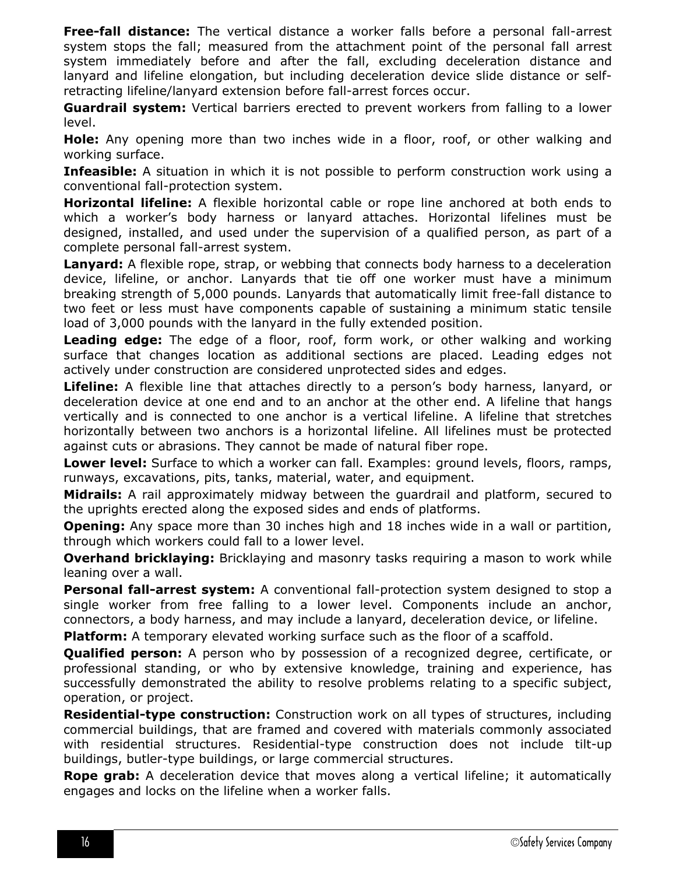**Free-fall distance:** The vertical distance a worker falls before a personal fall-arrest system stops the fall; measured from the attachment point of the personal fall arrest system immediately before and after the fall, excluding deceleration distance and lanyard and lifeline elongation, but including deceleration device slide distance or selfretracting lifeline/lanyard extension before fall-arrest forces occur.

**Guardrail system:** Vertical barriers erected to prevent workers from falling to a lower level.

**Hole:** Any opening more than two inches wide in a floor, roof, or other walking and working surface.

**Infeasible:** A situation in which it is not possible to perform construction work using a conventional fall-protection system.

**Horizontal lifeline:** A flexible horizontal cable or rope line anchored at both ends to which a worker's body harness or lanyard attaches. Horizontal lifelines must be designed, installed, and used under the supervision of a qualified person, as part of a complete personal fall-arrest system.

**Lanyard:** A flexible rope, strap, or webbing that connects body harness to a deceleration device, lifeline, or anchor. Lanyards that tie off one worker must have a minimum breaking strength of 5,000 pounds. Lanyards that automatically limit free-fall distance to two feet or less must have components capable of sustaining a minimum static tensile load of 3,000 pounds with the lanyard in the fully extended position.

**Leading edge:** The edge of a floor, roof, form work, or other walking and working surface that changes location as additional sections are placed. Leading edges not actively under construction are considered unprotected sides and edges.

**Lifeline:** A flexible line that attaches directly to a person's body harness, lanyard, or deceleration device at one end and to an anchor at the other end. A lifeline that hangs vertically and is connected to one anchor is a vertical lifeline. A lifeline that stretches horizontally between two anchors is a horizontal lifeline. All lifelines must be protected against cuts or abrasions. They cannot be made of natural fiber rope.

**Lower level:** Surface to which a worker can fall. Examples: ground levels, floors, ramps, runways, excavations, pits, tanks, material, water, and equipment.

**Midrails:** A rail approximately midway between the guardrail and platform, secured to the uprights erected along the exposed sides and ends of platforms.

**Opening:** Any space more than 30 inches high and 18 inches wide in a wall or partition, through which workers could fall to a lower level.

**Overhand bricklaying:** Bricklaying and masonry tasks requiring a mason to work while leaning over a wall.

**Personal fall-arrest system:** A conventional fall-protection system designed to stop a single worker from free falling to a lower level. Components include an anchor, connectors, a body harness, and may include a lanyard, deceleration device, or lifeline.

**Platform:** A temporary elevated working surface such as the floor of a scaffold.

**Qualified person:** A person who by possession of a recognized degree, certificate, or professional standing, or who by extensive knowledge, training and experience, has successfully demonstrated the ability to resolve problems relating to a specific subject, operation, or project.

**Residential-type construction:** Construction work on all types of structures, including commercial buildings, that are framed and covered with materials commonly associated with residential structures. Residential-type construction does not include tilt-up buildings, butler-type buildings, or large commercial structures.

**Rope grab:** A deceleration device that moves along a vertical lifeline; it automatically engages and locks on the lifeline when a worker falls.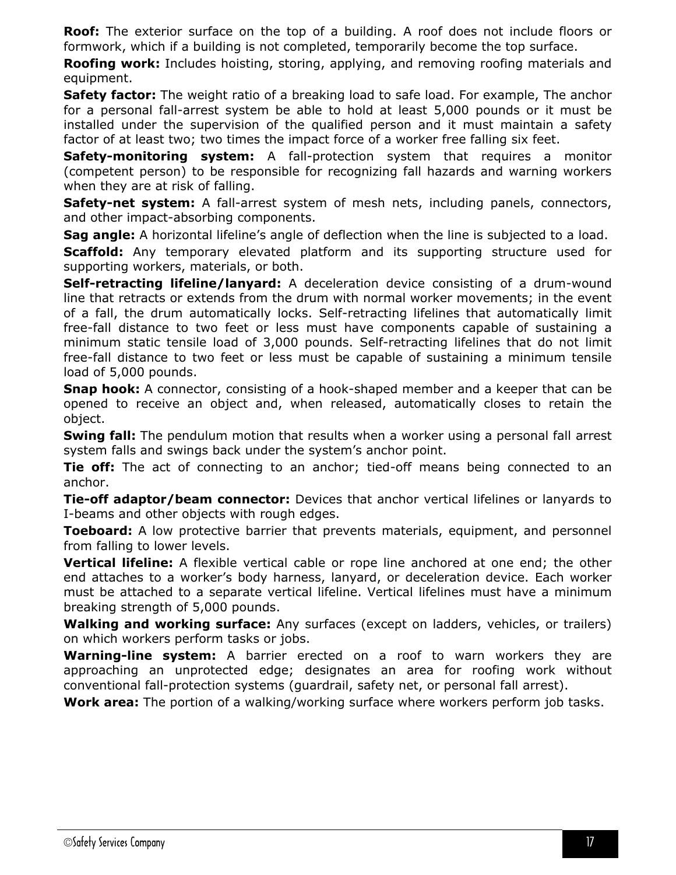**Roof:** The exterior surface on the top of a building. A roof does not include floors or formwork, which if a building is not completed, temporarily become the top surface.

**Roofing work:** Includes hoisting, storing, applying, and removing roofing materials and equipment.

**Safety factor:** The weight ratio of a breaking load to safe load. For example, The anchor for a personal fall-arrest system be able to hold at least 5,000 pounds or it must be installed under the supervision of the qualified person and it must maintain a safety factor of at least two; two times the impact force of a worker free falling six feet.

**Safety-monitoring system:** A fall-protection system that requires a monitor (competent person) to be responsible for recognizing fall hazards and warning workers when they are at risk of falling.

**Safety-net system:** A fall-arrest system of mesh nets, including panels, connectors, and other impact-absorbing components.

**Sag angle:** A horizontal lifeline's angle of deflection when the line is subjected to a load. **Scaffold:** Any temporary elevated platform and its supporting structure used for supporting workers, materials, or both.

**Self-retracting lifeline/lanyard:** A deceleration device consisting of a drum-wound line that retracts or extends from the drum with normal worker movements; in the event of a fall, the drum automatically locks. Self-retracting lifelines that automatically limit free-fall distance to two feet or less must have components capable of sustaining a minimum static tensile load of 3,000 pounds. Self-retracting lifelines that do not limit free-fall distance to two feet or less must be capable of sustaining a minimum tensile load of 5,000 pounds.

**Snap hook:** A connector, consisting of a hook-shaped member and a keeper that can be opened to receive an object and, when released, automatically closes to retain the object.

**Swing fall:** The pendulum motion that results when a worker using a personal fall arrest system falls and swings back under the system's anchor point.

**Tie off:** The act of connecting to an anchor; tied-off means being connected to an anchor.

**Tie-off adaptor/beam connector:** Devices that anchor vertical lifelines or lanyards to I-beams and other objects with rough edges.

**Toeboard:** A low protective barrier that prevents materials, equipment, and personnel from falling to lower levels.

**Vertical lifeline:** A flexible vertical cable or rope line anchored at one end; the other end attaches to a worker's body harness, lanyard, or deceleration device. Each worker must be attached to a separate vertical lifeline. Vertical lifelines must have a minimum breaking strength of 5,000 pounds.

**Walking and working surface:** Any surfaces (except on ladders, vehicles, or trailers) on which workers perform tasks or jobs.

**Warning-line system:** A barrier erected on a roof to warn workers they are approaching an unprotected edge; designates an area for roofing work without conventional fall-protection systems (guardrail, safety net, or personal fall arrest).

**Work area:** The portion of a walking/working surface where workers perform job tasks.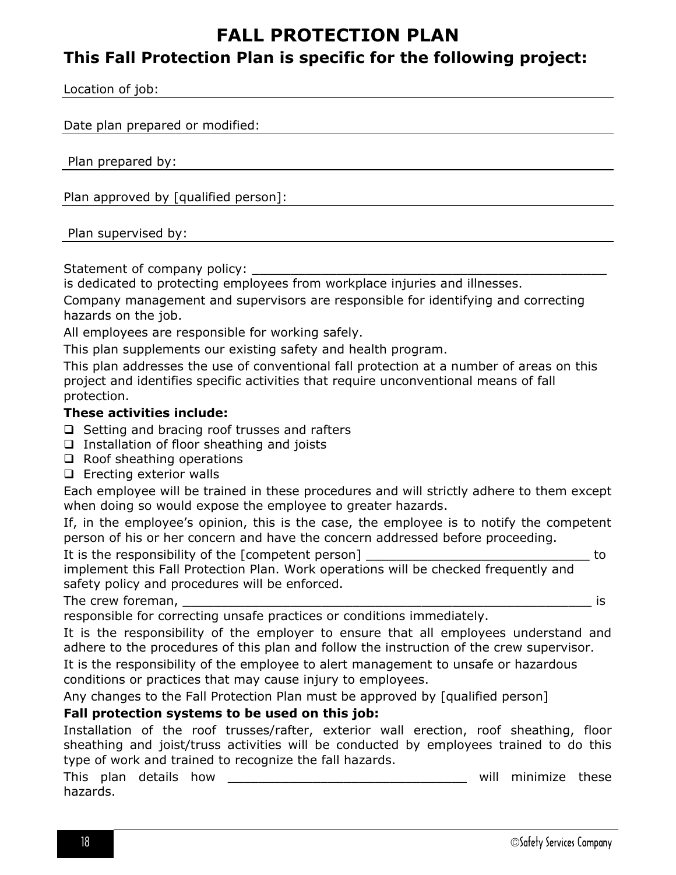# **FALL PROTECTION PLAN**

# <span id="page-17-0"></span>**This Fall Protection Plan is specific for the following project:**

Location of job:

Date plan prepared or modified:

Plan prepared by:

Plan approved by [qualified person]:

Plan supervised by:

Statement of company policy:

is dedicated to protecting employees from workplace injuries and illnesses.

Company management and supervisors are responsible for identifying and correcting hazards on the job.

All employees are responsible for working safely.

This plan supplements our existing safety and health program.

This plan addresses the use of conventional fall protection at a number of areas on this project and identifies specific activities that require unconventional means of fall protection.

#### **These activities include:**

 $\Box$  Setting and bracing roof trusses and rafters

- $\Box$  Installation of floor sheathing and joists
- $\Box$  Roof sheathing operations
- $\Box$  Erecting exterior walls

Each employee will be trained in these procedures and will strictly adhere to them except when doing so would expose the employee to greater hazards.

If, in the employee's opinion, this is the case, the employee is to notify the competent person of his or her concern and have the concern addressed before proceeding.

It is the responsibility of the [competent person] \_\_\_\_\_\_\_\_\_\_\_\_\_\_\_\_\_\_\_\_\_\_\_\_\_\_\_\_\_\_ to implement this Fall Protection Plan. Work operations will be checked frequently and safety policy and procedures will be enforced.

The crew foreman, \_\_\_\_\_\_\_\_\_\_\_\_\_\_\_\_\_\_\_\_\_\_\_\_\_\_\_\_\_\_\_\_\_\_\_\_\_\_\_\_\_\_\_\_\_\_\_\_\_\_\_\_\_ is

responsible for correcting unsafe practices or conditions immediately.

It is the responsibility of the employer to ensure that all employees understand and adhere to the procedures of this plan and follow the instruction of the crew supervisor.

It is the responsibility of the employee to alert management to unsafe or hazardous conditions or practices that may cause injury to employees.

Any changes to the Fall Protection Plan must be approved by [qualified person]

# **Fall protection systems to be used on this job:**

Installation of the roof trusses/rafter, exterior wall erection, roof sheathing, floor sheathing and joist/truss activities will be conducted by employees trained to do this type of work and trained to recognize the fall hazards.

This plan details how the second service of the will minimize these hazards.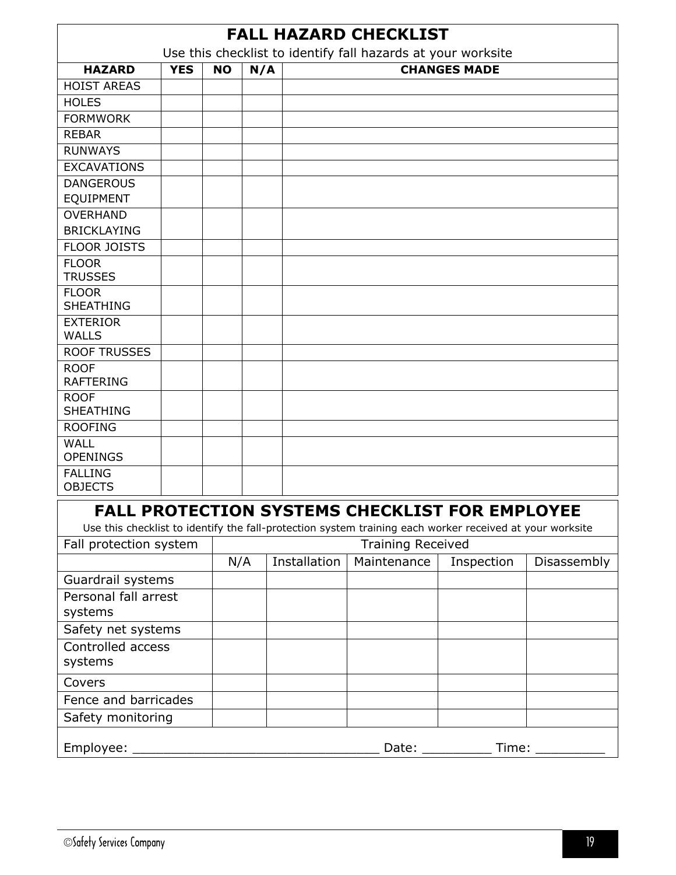<span id="page-18-1"></span><span id="page-18-0"></span>

| <b>FALL HAZARD CHECKLIST</b><br>Use this checklist to identify fall hazards at your worksite |            |           |     |              |                                                                                                          |                     |             |
|----------------------------------------------------------------------------------------------|------------|-----------|-----|--------------|----------------------------------------------------------------------------------------------------------|---------------------|-------------|
| <b>HAZARD</b>                                                                                | <b>YES</b> | <b>NO</b> | N/A |              |                                                                                                          | <b>CHANGES MADE</b> |             |
| <b>HOIST AREAS</b>                                                                           |            |           |     |              |                                                                                                          |                     |             |
| <b>HOLES</b>                                                                                 |            |           |     |              |                                                                                                          |                     |             |
| <b>FORMWORK</b>                                                                              |            |           |     |              |                                                                                                          |                     |             |
| <b>REBAR</b>                                                                                 |            |           |     |              |                                                                                                          |                     |             |
| <b>RUNWAYS</b>                                                                               |            |           |     |              |                                                                                                          |                     |             |
| <b>EXCAVATIONS</b>                                                                           |            |           |     |              |                                                                                                          |                     |             |
| <b>DANGEROUS</b>                                                                             |            |           |     |              |                                                                                                          |                     |             |
| EQUIPMENT                                                                                    |            |           |     |              |                                                                                                          |                     |             |
| <b>OVERHAND</b>                                                                              |            |           |     |              |                                                                                                          |                     |             |
| <b>BRICKLAYING</b>                                                                           |            |           |     |              |                                                                                                          |                     |             |
| <b>FLOOR JOISTS</b>                                                                          |            |           |     |              |                                                                                                          |                     |             |
| <b>FLOOR</b>                                                                                 |            |           |     |              |                                                                                                          |                     |             |
| <b>TRUSSES</b>                                                                               |            |           |     |              |                                                                                                          |                     |             |
| <b>FLOOR</b>                                                                                 |            |           |     |              |                                                                                                          |                     |             |
| <b>SHEATHING</b>                                                                             |            |           |     |              |                                                                                                          |                     |             |
| <b>EXTERIOR</b>                                                                              |            |           |     |              |                                                                                                          |                     |             |
| <b>WALLS</b>                                                                                 |            |           |     |              |                                                                                                          |                     |             |
| <b>ROOF TRUSSES</b>                                                                          |            |           |     |              |                                                                                                          |                     |             |
| <b>ROOF</b>                                                                                  |            |           |     |              |                                                                                                          |                     |             |
| <b>RAFTERING</b>                                                                             |            |           |     |              |                                                                                                          |                     |             |
| <b>ROOF</b>                                                                                  |            |           |     |              |                                                                                                          |                     |             |
| <b>SHEATHING</b>                                                                             |            |           |     |              |                                                                                                          |                     |             |
| <b>ROOFING</b>                                                                               |            |           |     |              |                                                                                                          |                     |             |
| <b>WALL</b><br><b>OPENINGS</b>                                                               |            |           |     |              |                                                                                                          |                     |             |
| <b>FALLING</b>                                                                               |            |           |     |              |                                                                                                          |                     |             |
| <b>OBJECTS</b>                                                                               |            |           |     |              |                                                                                                          |                     |             |
|                                                                                              |            |           |     |              | FALL PROTECTION SYSTEMS CHECKLIST FOR EMPLOYEE                                                           |                     |             |
|                                                                                              |            |           |     |              | Use this checklist to identify the fall-protection system training each worker received at your worksite |                     |             |
| Fall protection system                                                                       |            |           |     |              | <b>Training Received</b>                                                                                 |                     |             |
|                                                                                              |            | N/A       |     | Installation | Maintenance                                                                                              | Inspection          | Disassembly |
| Guardrail systems                                                                            |            |           |     |              |                                                                                                          |                     |             |
| Personal fall arrest                                                                         |            |           |     |              |                                                                                                          |                     |             |
| systems                                                                                      |            |           |     |              |                                                                                                          |                     |             |
|                                                                                              |            |           |     |              |                                                                                                          |                     |             |
| Safety net systems<br>Controlled access                                                      |            |           |     |              |                                                                                                          |                     |             |
| systems                                                                                      |            |           |     |              |                                                                                                          |                     |             |
| Covers                                                                                       |            |           |     |              |                                                                                                          |                     |             |
| Fence and barricades                                                                         |            |           |     |              |                                                                                                          |                     |             |
| Safety monitoring                                                                            |            |           |     |              |                                                                                                          |                     |             |
|                                                                                              |            |           |     |              |                                                                                                          |                     |             |
| Employee:                                                                                    |            |           |     |              | Date:                                                                                                    | Time:               |             |